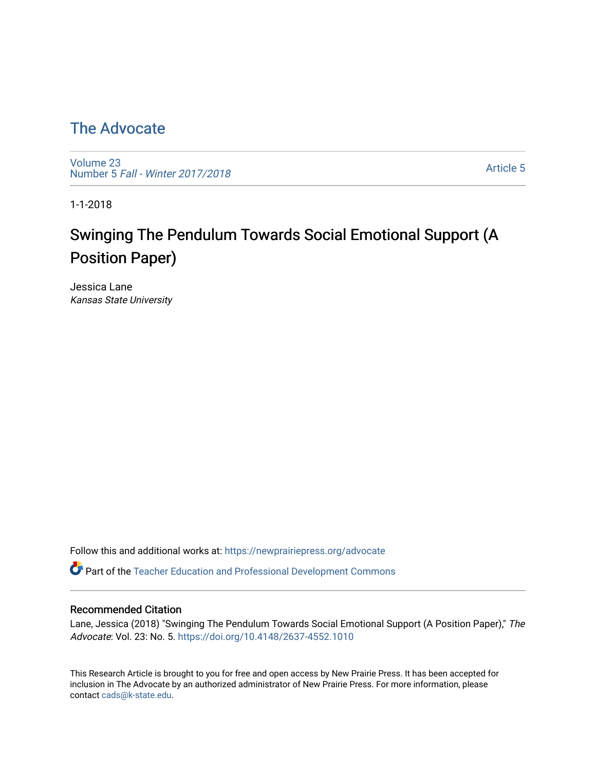# [The Advocate](https://newprairiepress.org/advocate)

[Volume 23](https://newprairiepress.org/advocate/vol23) Number 5 [Fall - Winter 2017/2018](https://newprairiepress.org/advocate/vol23/iss5) 

[Article 5](https://newprairiepress.org/advocate/vol23/iss5/5) 

1-1-2018

# Swinging The Pendulum Towards Social Emotional Support (A Position Paper)

Jessica Lane Kansas State University

Follow this and additional works at: [https://newprairiepress.org/advocate](https://newprairiepress.org/advocate?utm_source=newprairiepress.org%2Fadvocate%2Fvol23%2Fiss5%2F5&utm_medium=PDF&utm_campaign=PDFCoverPages) 

Part of the [Teacher Education and Professional Development Commons](http://network.bepress.com/hgg/discipline/803?utm_source=newprairiepress.org%2Fadvocate%2Fvol23%2Fiss5%2F5&utm_medium=PDF&utm_campaign=PDFCoverPages) 

### Recommended Citation

Lane, Jessica (2018) "Swinging The Pendulum Towards Social Emotional Support (A Position Paper)," The Advocate: Vol. 23: No. 5. <https://doi.org/10.4148/2637-4552.1010>

This Research Article is brought to you for free and open access by New Prairie Press. It has been accepted for inclusion in The Advocate by an authorized administrator of New Prairie Press. For more information, please contact [cads@k-state.edu](mailto:cads@k-state.edu).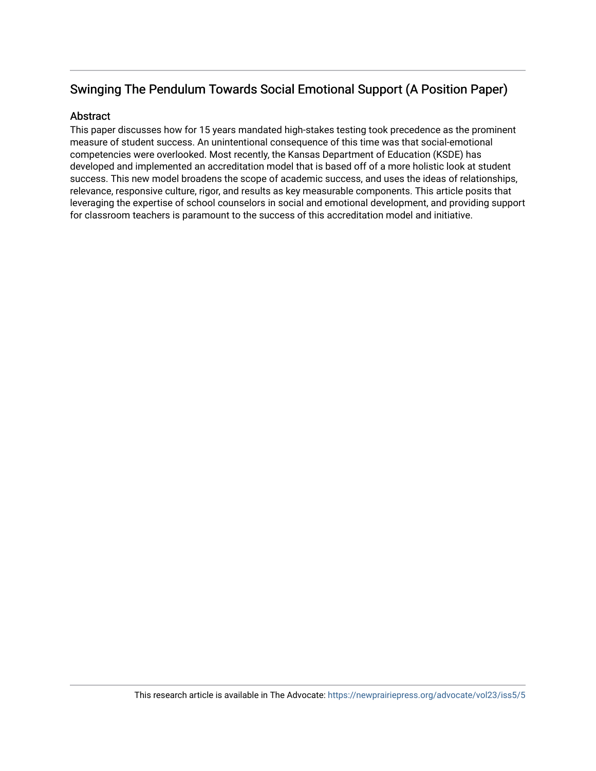# Swinging The Pendulum Towards Social Emotional Support (A Position Paper)

## **Abstract**

This paper discusses how for 15 years mandated high-stakes testing took precedence as the prominent measure of student success. An unintentional consequence of this time was that social-emotional competencies were overlooked. Most recently, the Kansas Department of Education (KSDE) has developed and implemented an accreditation model that is based off of a more holistic look at student success. This new model broadens the scope of academic success, and uses the ideas of relationships, relevance, responsive culture, rigor, and results as key measurable components. This article posits that leveraging the expertise of school counselors in social and emotional development, and providing support for classroom teachers is paramount to the success of this accreditation model and initiative.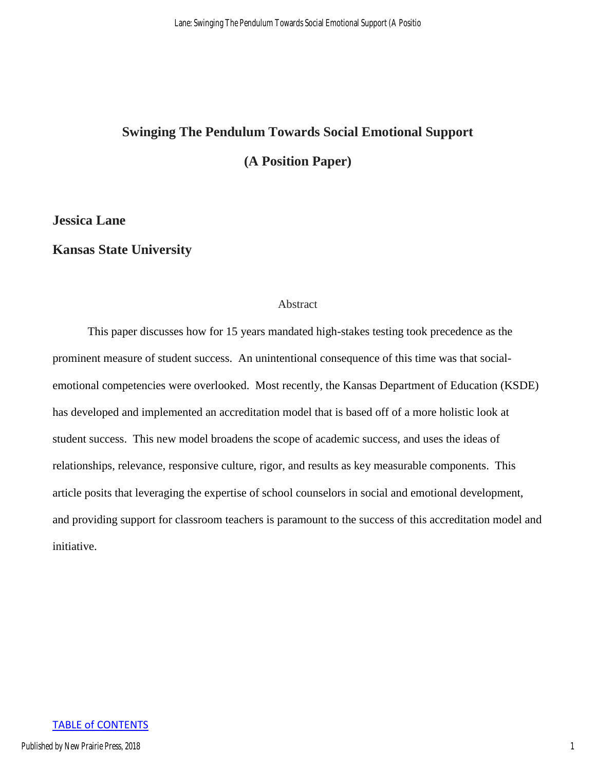# **Swinging The Pendulum Towards Social Emotional Support (A Position Paper)**

# **Jessica Lane**

## **Kansas State University**

#### Abstract

This paper discusses how for 15 years mandated high-stakes testing took precedence as the prominent measure of student success. An unintentional consequence of this time was that socialemotional competencies were overlooked. Most recently, the Kansas Department of Education (KSDE) has developed and implemented an accreditation model that is based off of a more holistic look at student success. This new model broadens the scope of academic success, and uses the ideas of relationships, relevance, responsive culture, rigor, and results as key measurable components. This article posits that leveraging the expertise of school counselors in social and emotional development, and providing support for classroom teachers is paramount to the success of this accreditation model and initiative.

#### TABLE of CONTENTS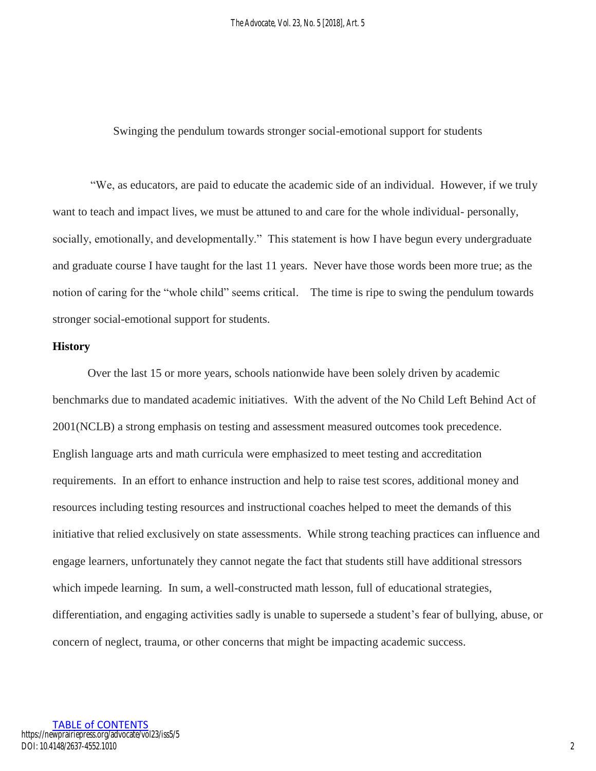Swinging the pendulum towards stronger social-emotional support for students

"We, as educators, are paid to educate the academic side of an individual. However, if we truly want to teach and impact lives, we must be attuned to and care for the whole individual- personally, socially, emotionally, and developmentally." This statement is how I have begun every undergraduate and graduate course I have taught for the last 11 years. Never have those words been more true; as the notion of caring for the "whole child" seems critical. The time is ripe to swing the pendulum towards stronger social-emotional support for students.

#### **History**

Over the last 15 or more years, schools nationwide have been solely driven by academic benchmarks due to mandated academic initiatives. With the advent of the No Child Left Behind Act of 2001(NCLB) a strong emphasis on testing and assessment measured outcomes took precedence. English language arts and math curricula were emphasized to meet testing and accreditation requirements. In an effort to enhance instruction and help to raise test scores, additional money and resources including testing resources and instructional coaches helped to meet the demands of this initiative that relied exclusively on state assessments. While strong teaching practices can influence and engage learners, unfortunately they cannot negate the fact that students still have additional stressors which impede learning. In sum, a well-constructed math lesson, full of educational strategies, differentiation, and engaging activities sadly is unable to supersede a student's fear of bullying, abuse, or concern of neglect, trauma, or other concerns that might be impacting academic success.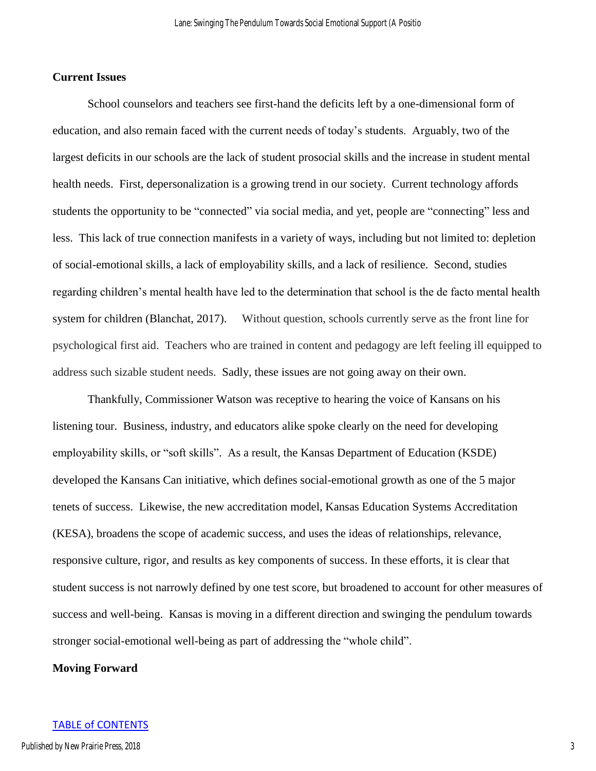### **Current Issues**

School counselors and teachers see first-hand the deficits left by a one-dimensional form of education, and also remain faced with the current needs of today's students. Arguably, two of the largest deficits in our schools are the lack of student prosocial skills and the increase in student mental health needs. First, depersonalization is a growing trend in our society. Current technology affords students the opportunity to be "connected" via social media, and yet, people are "connecting" less and less. This lack of true connection manifests in a variety of ways, including but not limited to: depletion of social-emotional skills, a lack of employability skills, and a lack of resilience. Second, studies regarding children's mental health have led to the determination that school is the de facto mental health system for children (Blanchat, 2017). Without question, schools currently serve as the front line for psychological first aid.Teachers who are trained in content and pedagogy are left feeling ill equipped to address such sizable student needs. Sadly, these issues are not going away on their own.

Thankfully, Commissioner Watson was receptive to hearing the voice of Kansans on his listening tour. Business, industry, and educators alike spoke clearly on the need for developing employability skills, or "soft skills". As a result, the Kansas Department of Education (KSDE) developed the Kansans Can initiative, which defines social-emotional growth as one of the 5 major tenets of success. Likewise, the new accreditation model, Kansas Education Systems Accreditation (KESA), broadens the scope of academic success, and uses the ideas of relationships, relevance, responsive culture, rigor, and results as key components of success. In these efforts, it is clear that student success is not narrowly defined by one test score, but broadened to account for other measures of success and well-being. Kansas is moving in a different direction and swinging the pendulum towards stronger social-emotional well-being as part of addressing the "whole child".

#### **Moving Forward**

#### TABLE of CONTENTS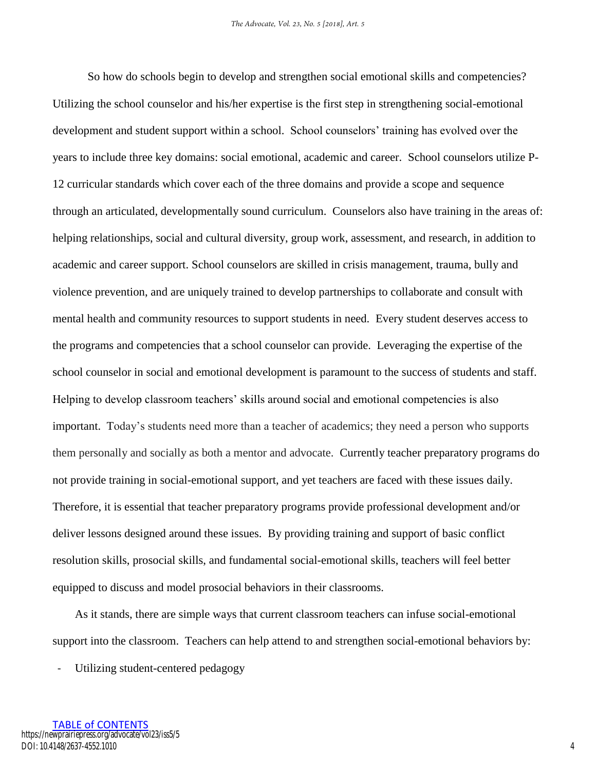So how do schools begin to develop and strengthen social emotional skills and competencies? Utilizing the school counselor and his/her expertise is the first step in strengthening social-emotional development and student support within a school. School counselors' training has evolved over the years to include three key domains: social emotional, academic and career. School counselors utilize P-12 curricular standards which cover each of the three domains and provide a scope and sequence through an articulated, developmentally sound curriculum. Counselors also have training in the areas of: helping relationships, social and cultural diversity, group work, assessment, and research, in addition to academic and career support. School counselors are skilled in crisis management, trauma, bully and violence prevention, and are uniquely trained to develop partnerships to collaborate and consult with mental health and community resources to support students in need. Every student deserves access to the programs and competencies that a school counselor can provide. Leveraging the expertise of the school counselor in social and emotional development is paramount to the success of students and staff. Helping to develop classroom teachers' skills around social and emotional competencies is also important. Today's students need more than a teacher of academics; they need a person who supports them personally and socially as both a mentor and advocate. Currently teacher preparatory programs do not provide training in social-emotional support, and yet teachers are faced with these issues daily. Therefore, it is essential that teacher preparatory programs provide professional development and/or deliver lessons designed around these issues. By providing training and support of basic conflict resolution skills, prosocial skills, and fundamental social-emotional skills, teachers will feel better equipped to discuss and model prosocial behaviors in their classrooms.

As it stands, there are simple ways that current classroom teachers can infuse social-emotional support into the classroom. Teachers can help attend to and strengthen social-emotional behaviors by:

Utilizing student-centered pedagogy